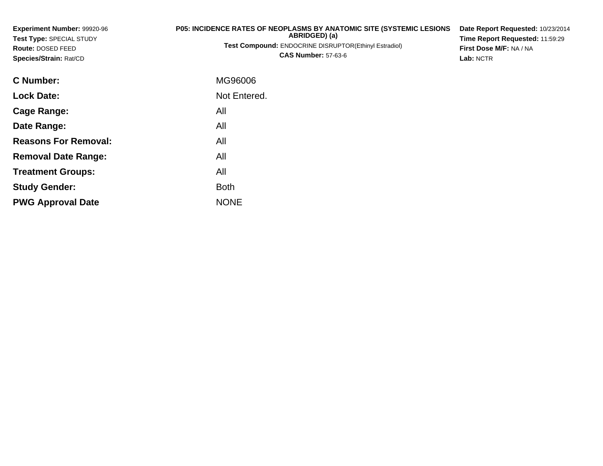| Experiment Number: 99920-96<br>Test Type: SPECIAL STUDY<br>Route: DOSED FEED<br>Species/Strain: Rat/CD | <b>P05: INCIDENCE RATES OF NEOPLASMS BY ANATOMIC SITE (SYSTEMIC LESIONS)</b><br>ABRIDGED) (a)<br><b>Test Compound: ENDOCRINE DISRUPTOR(Ethinyl Estradiol)</b><br><b>CAS Number: 57-63-6</b> | Date Report Requested: 10/23/2014<br>Time Report Requested: 11:59:29<br>First Dose M/F: NA / NA<br>Lab: NCTR |
|--------------------------------------------------------------------------------------------------------|---------------------------------------------------------------------------------------------------------------------------------------------------------------------------------------------|--------------------------------------------------------------------------------------------------------------|
| C Number:                                                                                              | MG96006                                                                                                                                                                                     |                                                                                                              |
| <b>Lock Date:</b>                                                                                      | Not Entered.                                                                                                                                                                                |                                                                                                              |
| <b>Cage Range:</b>                                                                                     | All                                                                                                                                                                                         |                                                                                                              |
| Date Range:                                                                                            | All                                                                                                                                                                                         |                                                                                                              |
| <b>Reasons For Removal:</b>                                                                            | All                                                                                                                                                                                         |                                                                                                              |
| <b>Removal Date Range:</b>                                                                             | All                                                                                                                                                                                         |                                                                                                              |

**Treatment Groups:**

**PWG Approval Date**

**Study Gender:**

All

e NONE

Both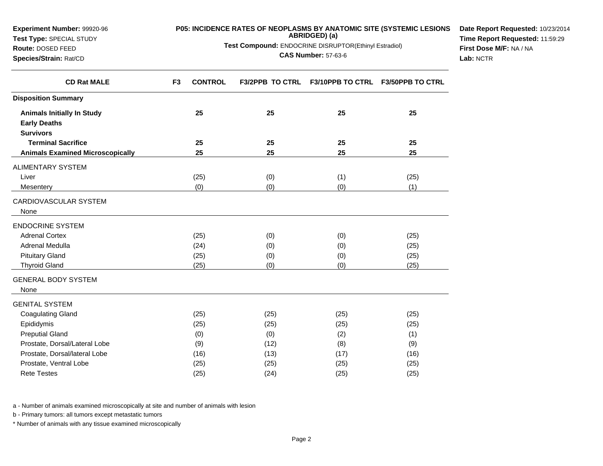| <b>Experiment Number: 99920-96</b> | <b>P05: INCIDENCE RATES OF NEOPLASMS BY ANATOMIC SITE (SYSTEMIC LESIONS)</b> | <b>Date Report Requeste</b> |
|------------------------------------|------------------------------------------------------------------------------|-----------------------------|
| <b>Test Type: SPECIAL STUDY</b>    | ABRIDGED) (a)                                                                | <b>Time Report Requeste</b> |
| <b>Route: DOSED FEED</b>           | <b>Test Compound: ENDOCRINE DISRUPTOR(Ethinyl Estradiol)</b>                 | First Dose M/F: NA / N/     |

**CAS Number:** 57-63-6

**Date Report Requested:** 10/23/2014**ed:** 11:59:29 **First Dose M/F:** NA / NA**Lab:** NCTR

| <b>CD Rat MALE</b>                      | F <sub>3</sub> | <b>CONTROL</b> |      | F3/2PPB TO CTRL F3/10PPB TO CTRL | <b>F3/50PPB TO CTRL</b> |
|-----------------------------------------|----------------|----------------|------|----------------------------------|-------------------------|
| <b>Disposition Summary</b>              |                |                |      |                                  |                         |
| <b>Animals Initially In Study</b>       |                | 25             | 25   | 25                               | 25                      |
| <b>Early Deaths</b>                     |                |                |      |                                  |                         |
| <b>Survivors</b>                        |                |                |      |                                  |                         |
| <b>Terminal Sacrifice</b>               |                | 25             | 25   | 25                               | 25                      |
| <b>Animals Examined Microscopically</b> |                | 25             | 25   | 25                               | 25                      |
| ALIMENTARY SYSTEM                       |                |                |      |                                  |                         |
| Liver                                   |                | (25)           | (0)  | (1)                              | (25)                    |
| Mesentery                               |                | (0)            | (0)  | (0)                              | (1)                     |
| CARDIOVASCULAR SYSTEM<br>None           |                |                |      |                                  |                         |
| <b>ENDOCRINE SYSTEM</b>                 |                |                |      |                                  |                         |
| <b>Adrenal Cortex</b>                   |                | (25)           | (0)  | (0)                              | (25)                    |
| Adrenal Medulla                         |                | (24)           | (0)  | (0)                              | (25)                    |
| <b>Pituitary Gland</b>                  |                | (25)           | (0)  | (0)                              | (25)                    |
| <b>Thyroid Gland</b>                    |                | (25)           | (0)  | (0)                              | (25)                    |
| <b>GENERAL BODY SYSTEM</b><br>None      |                |                |      |                                  |                         |
| <b>GENITAL SYSTEM</b>                   |                |                |      |                                  |                         |
| <b>Coagulating Gland</b>                |                | (25)           | (25) | (25)                             | (25)                    |
| Epididymis                              |                | (25)           | (25) | (25)                             | (25)                    |
| <b>Preputial Gland</b>                  |                | (0)            | (0)  | (2)                              | (1)                     |
| Prostate, Dorsal/Lateral Lobe           |                | (9)            | (12) | (8)                              | (9)                     |
| Prostate, Dorsal/lateral Lobe           |                | (16)           | (13) | (17)                             | (16)                    |
| Prostate, Ventral Lobe                  |                | (25)           | (25) | (25)                             | (25)                    |
| <b>Rete Testes</b>                      |                | (25)           | (24) | (25)                             | (25)                    |

a - Number of animals examined microscopically at site and number of animals with lesion

b - Primary tumors: all tumors except metastatic tumors

**Species/Strain:** Rat/CD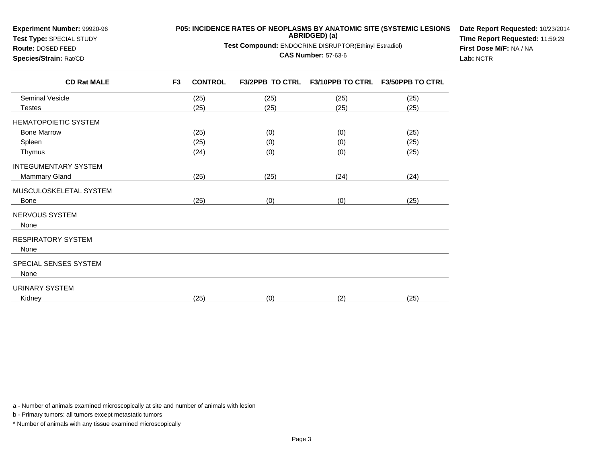## **Experiment Number:** 99920-96

**Test Type:** SPECIAL STUDY

## **P05: INCIDENCE RATES OF NEOPLASMS BY ANATOMIC SITE (SYSTEMIC LESIONS ABRIDGED) (a)**

**Test Compound:** ENDOCRINE DISRUPTOR(Ethinyl Estradiol)

## **CAS Number:** 57-63-6

**Date Report Requested:** 10/23/2014**Time Report Requested:** 11:59:29**First Dose M/F:** NA / NA**Lab:** NCTR

| <b>Route: DOSED FEED</b> |
|--------------------------|
| Species/Strain: Rat/CD   |

| <b>CD Rat MALE</b>     | F <sub>3</sub> | <b>CONTROL</b> |      | F3/2PPB TO CTRL F3/10PPB TO CTRL F3/50PPB TO CTRL |      |
|------------------------|----------------|----------------|------|---------------------------------------------------|------|
| <b>Seminal Vesicle</b> |                | (25)           | (25) | (25)                                              | (25) |
| <b>Testes</b>          |                | (25)           | (25) | (25)                                              | (25) |
| HEMATOPOIETIC SYSTEM   |                |                |      |                                                   |      |
| <b>Bone Marrow</b>     |                | (25)           | (0)  | (0)                                               | (25) |
| Spleen                 |                | (25)           | (0)  | (0)                                               | (25) |
| Thymus                 |                | (24)           | (0)  | (0)                                               | (25) |
| INTEGUMENTARY SYSTEM   |                |                |      |                                                   |      |
| <b>Mammary Gland</b>   |                | (25)           | (25) | (24)                                              | (24) |
| MUSCULOSKELETAL SYSTEM |                |                |      |                                                   |      |
| <b>Bone</b>            |                | (25)           | (0)  | (0)                                               | (25) |
| NERVOUS SYSTEM         |                |                |      |                                                   |      |
| None                   |                |                |      |                                                   |      |
| RESPIRATORY SYSTEM     |                |                |      |                                                   |      |
| None                   |                |                |      |                                                   |      |
| SPECIAL SENSES SYSTEM  |                |                |      |                                                   |      |
| None                   |                |                |      |                                                   |      |
| URINARY SYSTEM         |                |                |      |                                                   |      |
| Kidney                 |                | (25)           | (0)  | (2)                                               | (25) |
|                        |                |                |      |                                                   |      |

a - Number of animals examined microscopically at site and number of animals with lesion

b - Primary tumors: all tumors except metastatic tumors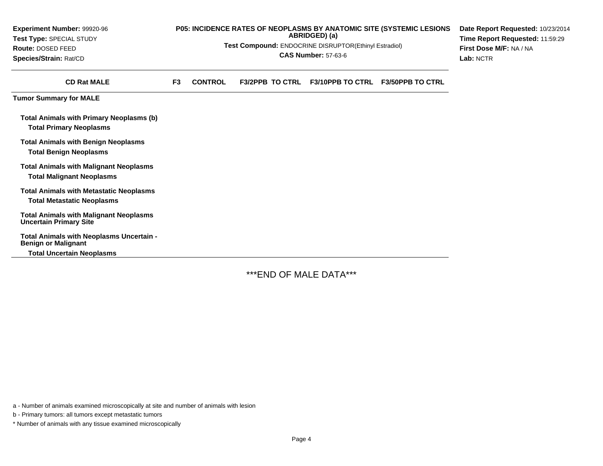| Experiment Number: 99920-96                                                         | P05: INCIDENCE RATES OF NEOPLASMS BY ANATOMIC SITE (SYSTEMIC LESIONS<br>Date Report Requested: 10/23/2014 |                |                                                       |                                 |                         |                         |
|-------------------------------------------------------------------------------------|-----------------------------------------------------------------------------------------------------------|----------------|-------------------------------------------------------|---------------------------------|-------------------------|-------------------------|
| Test Type: SPECIAL STUDY                                                            |                                                                                                           |                | ABRIDGED) (a)                                         | Time Report Requested: 11:59:29 |                         |                         |
| <b>Route: DOSED FEED</b>                                                            |                                                                                                           |                | Test Compound: ENDOCRINE DISRUPTOR(Ethinyl Estradiol) |                                 |                         | First Dose M/F: NA / NA |
| Species/Strain: Rat/CD                                                              |                                                                                                           |                | <b>CAS Number: 57-63-6</b>                            | Lab: NCTR                       |                         |                         |
| <b>CD Rat MALE</b>                                                                  | F <sub>3</sub>                                                                                            | <b>CONTROL</b> | <b>F3/2PPB TO CTRL</b>                                | <b>F3/10PPB TO CTRL</b>         | <b>F3/50PPB TO CTRL</b> |                         |
| <b>Tumor Summary for MALE</b>                                                       |                                                                                                           |                |                                                       |                                 |                         |                         |
| <b>Total Animals with Primary Neoplasms (b)</b><br><b>Total Primary Neoplasms</b>   |                                                                                                           |                |                                                       |                                 |                         |                         |
| <b>Total Animals with Benign Neoplasms</b><br><b>Total Benign Neoplasms</b>         |                                                                                                           |                |                                                       |                                 |                         |                         |
| <b>Total Animals with Malignant Neoplasms</b><br><b>Total Malignant Neoplasms</b>   |                                                                                                           |                |                                                       |                                 |                         |                         |
| <b>Total Animals with Metastatic Neoplasms</b><br><b>Total Metastatic Neoplasms</b> |                                                                                                           |                |                                                       |                                 |                         |                         |
| <b>Total Animals with Malignant Neoplasms</b><br><b>Uncertain Primary Site</b>      |                                                                                                           |                |                                                       |                                 |                         |                         |
| Total Animals with Neoplasms Uncertain -<br><b>Benign or Malignant</b>              |                                                                                                           |                |                                                       |                                 |                         |                         |
| <b>Total Uncertain Neoplasms</b>                                                    |                                                                                                           |                |                                                       |                                 |                         |                         |
|                                                                                     |                                                                                                           |                |                                                       |                                 |                         |                         |

\*\*\*END OF MALE DATA\*\*\*

a - Number of animals examined microscopically at site and number of animals with lesion

b - Primary tumors: all tumors except metastatic tumors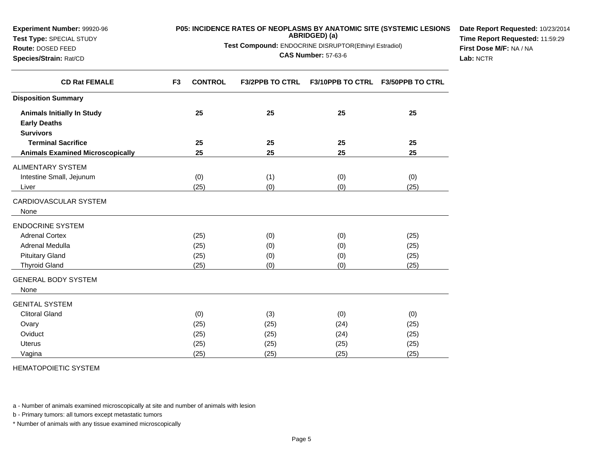| <b>Experiment Number: 99920-96</b> | <b>P05: INCIDENCE RATES OF NEOPLASMS BY ANATOMIC SITE (SYSTEMIC LESIONS</b> | <b>Date Report Requeste</b>    |
|------------------------------------|-----------------------------------------------------------------------------|--------------------------------|
| <b>Test Type: SPECIAL STUDY</b>    | ABRIDGED) (a)                                                               | <b>Time Report Requeste</b>    |
| <b>Route: DOSED FEED</b>           | <b>Test Compound: ENDOCRINE DISRUPTOR(Ethinyl Estradiol)</b>                | <b>First Dose M/F: NA / NA</b> |

**CAS Number:** 57-63-6

**Date Report Requested:** 10/23/2014**ed:** 11:59:29 **First Dose M/F:** NA / NA**Lab:** NCTR

| <b>CD Rat FEMALE</b>                    | F <sub>3</sub><br><b>CONTROL</b> | <b>F3/2PPB TO CTRL</b> |      | F3/10PPB TO CTRL F3/50PPB TO CTRL |
|-----------------------------------------|----------------------------------|------------------------|------|-----------------------------------|
| <b>Disposition Summary</b>              |                                  |                        |      |                                   |
| <b>Animals Initially In Study</b>       | 25                               | 25                     | 25   | 25                                |
| <b>Early Deaths</b>                     |                                  |                        |      |                                   |
| <b>Survivors</b>                        |                                  |                        |      |                                   |
| <b>Terminal Sacrifice</b>               | 25                               | 25                     | 25   | 25                                |
| <b>Animals Examined Microscopically</b> | 25                               | 25                     | 25   | 25                                |
| ALIMENTARY SYSTEM                       |                                  |                        |      |                                   |
| Intestine Small, Jejunum                | (0)                              | (1)                    | (0)  | (0)                               |
| Liver                                   | (25)                             | (0)                    | (0)  | (25)                              |
| CARDIOVASCULAR SYSTEM                   |                                  |                        |      |                                   |
| None                                    |                                  |                        |      |                                   |
| <b>ENDOCRINE SYSTEM</b>                 |                                  |                        |      |                                   |
| <b>Adrenal Cortex</b>                   | (25)                             | (0)                    | (0)  | (25)                              |
| Adrenal Medulla                         | (25)                             | (0)                    | (0)  | (25)                              |
| <b>Pituitary Gland</b>                  | (25)                             | (0)                    | (0)  | (25)                              |
| <b>Thyroid Gland</b>                    | (25)                             | (0)                    | (0)  | (25)                              |
| <b>GENERAL BODY SYSTEM</b>              |                                  |                        |      |                                   |
| None                                    |                                  |                        |      |                                   |
| <b>GENITAL SYSTEM</b>                   |                                  |                        |      |                                   |
| <b>Clitoral Gland</b>                   | (0)                              | (3)                    | (0)  | (0)                               |
| Ovary                                   | (25)                             | (25)                   | (24) | (25)                              |
| Oviduct                                 | (25)                             | (25)                   | (24) | (25)                              |
| <b>Uterus</b>                           | (25)                             | (25)                   | (25) | (25)                              |
| Vagina                                  | (25)                             | (25)                   | (25) | (25)                              |

HEMATOPOIETIC SYSTEM

**Species/Strain:** Rat/CD

a - Number of animals examined microscopically at site and number of animals with lesion

b - Primary tumors: all tumors except metastatic tumors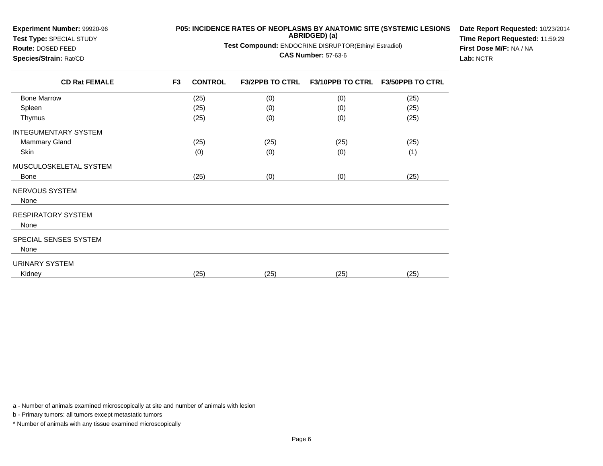| Experiment Number: 99920-96<br>Test Type: SPECIAL STUDY |                | P05: INCIDENCE RATES OF NEOPLASMS BY ANATOMIC SITE (SYSTEMIC LESIONS | Date Report Requested: 10/23/2014<br>Time Report Requested: 11:59:29<br>First Dose M/F: NA / NA |                         |                         |  |
|---------------------------------------------------------|----------------|----------------------------------------------------------------------|-------------------------------------------------------------------------------------------------|-------------------------|-------------------------|--|
| Route: DOSED FEED                                       |                | Test Compound: ENDOCRINE DISRUPTOR(Ethinyl Estradiol)                |                                                                                                 |                         |                         |  |
| Species/Strain: Rat/CD                                  |                |                                                                      | Lab: NCTR                                                                                       |                         |                         |  |
| <b>CD Rat FEMALE</b>                                    | F <sub>3</sub> | <b>CONTROL</b>                                                       | <b>F3/2PPB TO CTRL</b>                                                                          | <b>F3/10PPB TO CTRL</b> | <b>F3/50PPB TO CTRL</b> |  |
| <b>Bone Marrow</b>                                      |                | (25)                                                                 | (0)                                                                                             | (0)                     | (25)                    |  |
| Spleen                                                  |                | (25)                                                                 | (0)                                                                                             | (0)                     | (25)                    |  |
| Thymus                                                  |                | (25)                                                                 | (0)                                                                                             | (0)                     | (25)                    |  |
| <b>INTEGUMENTARY SYSTEM</b>                             |                |                                                                      |                                                                                                 |                         |                         |  |
| <b>Mammary Gland</b>                                    |                | (25)                                                                 | (25)                                                                                            | (25)                    | (25)                    |  |
| Skin                                                    |                | (0)                                                                  | (0)                                                                                             | (0)                     | (1)                     |  |
| MUSCULOSKELETAL SYSTEM                                  |                |                                                                      |                                                                                                 |                         |                         |  |
| <b>Bone</b>                                             |                | (25)                                                                 | (0)                                                                                             | (0)                     | (25)                    |  |
| NERVOUS SYSTEM<br>None                                  |                |                                                                      |                                                                                                 |                         |                         |  |
| <b>RESPIRATORY SYSTEM</b><br>None                       |                |                                                                      |                                                                                                 |                         |                         |  |
| SPECIAL SENSES SYSTEM<br>None                           |                |                                                                      |                                                                                                 |                         |                         |  |
| <b>URINARY SYSTEM</b>                                   |                |                                                                      |                                                                                                 |                         |                         |  |
| Kidney                                                  |                | (25)                                                                 | (25)                                                                                            | (25)                    | (25)                    |  |

a - Number of animals examined microscopically at site and number of animals with lesion

b - Primary tumors: all tumors except metastatic tumors